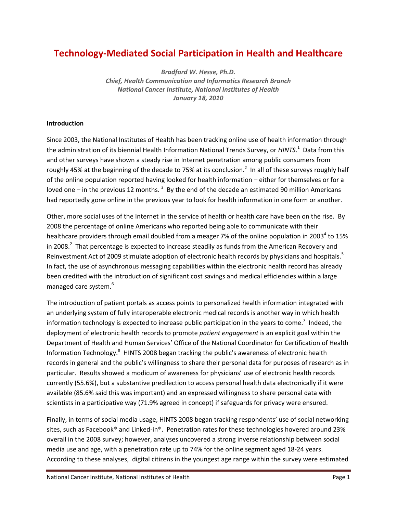# **Technology-Mediated Social Participation in Health and Healthcare**

*Bradford W. Hesse, Ph.D. Chief, Health Communication and Informatics Research Branch National Cancer Institute, National Institutes of Health January 18, 2010*

### **Introduction**

Since 2003, the National Institutes of Health has been tracking online use of health information through the administration of its biennial Health Information National Trends Survey, or *HINTS*. 1 Data from this and other surveys have shown a steady rise in Internet penetration among public consumers from roughly 45% at the beginning of the decade to 75% at its conclusion.<sup>2</sup> In all of these surveys roughly half of the online population reported having looked for health information – either for themselves or for a loved one – in the previous 12 months.  $3$  By the end of the decade an estimated 90 million Americans had reportedly gone online in the previous year to look for health information in one form or another.

Other, more social uses of the Internet in the service of health or health care have been on the rise. By 2008 the percentage of online Americans who reported being able to communicate with their healthcare providers through email doubled from a meager 7% of the online population in 2003<sup>4</sup> to 15% in 2008.<sup>2</sup> That percentage is expected to increase steadily as funds from the American Recovery and Reinvestment Act of 2009 stimulate adoption of electronic health records by physicians and hospitals.<sup>5</sup> In fact, the use of asynchronous messaging capabilities within the electronic health record has already been credited with the introduction of significant cost savings and medical efficiencies within a large managed care system. 6

The introduction of patient portals as access points to personalized health information integrated with an underlying system of fully interoperable electronic medical records is another way in which health information technology is expected to increase public participation in the years to come.<sup>7</sup> Indeed, the deployment of electronic health records to promote *patient engagement* is an explicit goal within the Department of Health and Human Services' Office of the National Coordinator for Certification of Health Information Technology.<sup>8</sup> HINTS 2008 began tracking the public's awareness of electronic health records in general and the public's willingness to share their personal data for purposes of research as in particular. Results showed a modicum of awareness for physicians' use of electronic health records currently (55.6%), but a substantive predilection to access personal health data electronically if it were available (85.6% said this was important) and an expressed willingness to share personal data with scientists in a participative way (71.9% agreed in concept) if safeguards for privacy were ensured.

Finally, in terms of social media usage, HINTS 2008 began tracking respondents' use of social networking sites, such as Facebook® and Linked-in®. Penetration rates for these technologies hovered around 23% overall in the 2008 survey; however, analyses uncovered a strong inverse relationship between social media use and age, with a penetration rate up to 74% for the online segment aged 18-24 years. According to these analyses, digital citizens in the youngest age range within the survey were estimated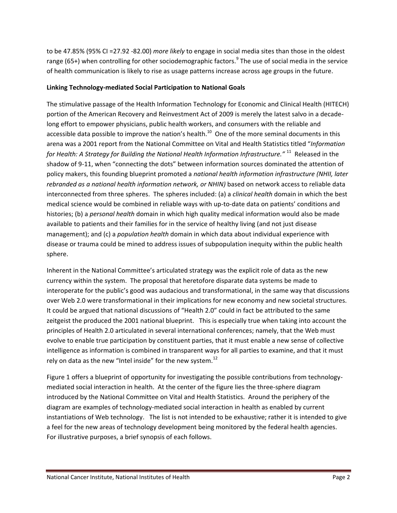to be 47.85% (95% CI =27.92 -82.00) *more likely* to engage in social media sites than those in the oldest range (65+) when controlling for other sociodemographic factors.<sup>9</sup> The use of social media in the service of health communication is likely to rise as usage patterns increase across age groups in the future.

## **Linking Technology-mediated Social Participation to National Goals**

The stimulative passage of the Health Information Technology for Economic and Clinical Health (HITECH) portion of the American Recovery and Reinvestment Act of 2009 is merely the latest salvo in a decadelong effort to empower physicians, public health workers, and consumers with the reliable and accessible data possible to improve the nation's health.<sup>10</sup> One of the more seminal documents in this arena was a 2001 report from the National Committee on Vital and Health Statistics titled "*Information for Health: A Strategy for Building the National Health Information Infrastructure."* <sup>11</sup> Released in the shadow of 9-11, when "connecting the dots" between information sources dominated the attention of policy makers, this founding blueprint promoted a *national health information infrastructure (NHII, later rebranded as a national health information network, or NHIN)* based on network access to reliable data interconnected from three spheres. The spheres included: (a) a *clinical health* domain in which the best medical science would be combined in reliable ways with up-to-date data on patients' conditions and histories; (b) a *personal health* domain in which high quality medical information would also be made available to patients and their families for in the service of healthy living (and not just disease management); and (c) a *population health* domain in which data about individual experience with disease or trauma could be mined to address issues of subpopulation inequity within the public health sphere.

Inherent in the National Committee's articulated strategy was the explicit role of data as the new currency within the system. The proposal that heretofore disparate data systems be made to interoperate for the public's good was audacious and transformational, in the same way that discussions over Web 2.0 were transformational in their implications for new economy and new societal structures. It could be argued that national discussions of "Health 2.0" could in fact be attributed to the same zeitgeist the produced the 2001 national blueprint. This is especially true when taking into account the principles of Health 2.0 articulated in several international conferences; namely, that the Web must evolve to enable true participation by constituent parties, that it must enable a new sense of collective intelligence as information is combined in transparent ways for all parties to examine, and that it must rely on data as the new "Intel inside" for the new system. $^{12}$ 

Figure 1 offers a blueprint of opportunity for investigating the possible contributions from technologymediated social interaction in health. At the center of the figure lies the three-sphere diagram introduced by the National Committee on Vital and Health Statistics. Around the periphery of the diagram are examples of technology-mediated social interaction in health as enabled by current instantiations of Web technology. The list is not intended to be exhaustive; rather it is intended to give a feel for the new areas of technology development being monitored by the federal health agencies. For illustrative purposes, a brief synopsis of each follows.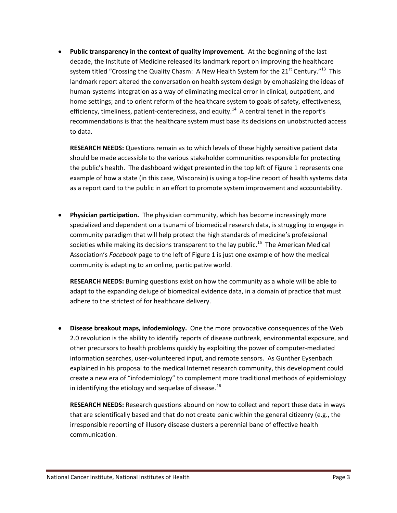**Public transparency in the context of quality improvement.** At the beginning of the last decade, the Institute of Medicine released its landmark report on improving the healthcare system titled "Crossing the Quality Chasm: A New Health System for the 21<sup>st</sup> Century."<sup>13</sup> This landmark report altered the conversation on health system design by emphasizing the ideas of human-systems integration as a way of eliminating medical error in clinical, outpatient, and home settings; and to orient reform of the healthcare system to goals of safety, effectiveness, efficiency, timeliness, patient-centeredness, and equity.<sup>14</sup> A central tenet in the report's recommendations is that the healthcare system must base its decisions on unobstructed access to data.

**RESEARCH NEEDS:** Questions remain as to which levels of these highly sensitive patient data should be made accessible to the various stakeholder communities responsible for protecting the public's health. The dashboard widget presented in the top left of Figure 1 represents one example of how a state (in this case, Wisconsin) is using a top-line report of health systems data as a report card to the public in an effort to promote system improvement and accountability.

**Physician participation.** The physician community, which has become increasingly more specialized and dependent on a tsunami of biomedical research data, is struggling to engage in community paradigm that will help protect the high standards of medicine's professional societies while making its decisions transparent to the lay public.<sup>15</sup> The American Medical Association's *Facebook* page to the left of Figure 1 is just one example of how the medical community is adapting to an online, participative world.

**RESEARCH NEEDS:** Burning questions exist on how the community as a whole will be able to adapt to the expanding deluge of biomedical evidence data, in a domain of practice that must adhere to the strictest of for healthcare delivery.

**Disease breakout maps, infodemiology.** One the more provocative consequences of the Web 2.0 revolution is the ability to identify reports of disease outbreak, environmental exposure, and other precursors to health problems quickly by exploiting the power of computer-mediated information searches, user-volunteered input, and remote sensors. As Gunther Eysenbach explained in his proposal to the medical Internet research community, this development could create a new era of "infodemiology" to complement more traditional methods of epidemiology in identifying the etiology and sequelae of disease. $^{16}$ 

**RESEARCH NEEDS:** Research questions abound on how to collect and report these data in ways that are scientifically based and that do not create panic within the general citizenry (e.g., the irresponsible reporting of illusory disease clusters a perennial bane of effective health communication.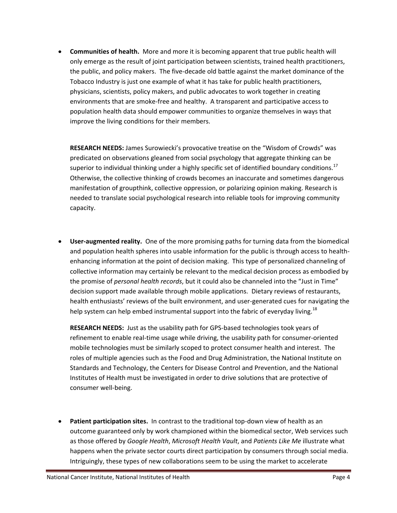**Communities of health.** More and more it is becoming apparent that true public health will only emerge as the result of joint participation between scientists, trained health practitioners, the public, and policy makers. The five-decade old battle against the market dominance of the Tobacco Industry is just one example of what it has take for public health practitioners, physicians, scientists, policy makers, and public advocates to work together in creating environments that are smoke-free and healthy. A transparent and participative access to population health data should empower communities to organize themselves in ways that improve the living conditions for their members.

**RESEARCH NEEDS:** James Surowiecki's provocative treatise on the "Wisdom of Crowds" was predicated on observations gleaned from social psychology that aggregate thinking can be superior to individual thinking under a highly specific set of identified boundary conditions.<sup>17</sup> Otherwise, the collective thinking of crowds becomes an inaccurate and sometimes dangerous manifestation of groupthink, collective oppression, or polarizing opinion making. Research is needed to translate social psychological research into reliable tools for improving community capacity.

**User-augmented reality.** One of the more promising paths for turning data from the biomedical and population health spheres into usable information for the public is through access to healthenhancing information at the point of decision making. This type of personalized channeling of collective information may certainly be relevant to the medical decision process as embodied by the promise of *personal health records*, but it could also be channeled into the "Just in Time" decision support made available through mobile applications. Dietary reviews of restaurants, health enthusiasts' reviews of the built environment, and user-generated cues for navigating the help system can help embed instrumental support into the fabric of everyday living.<sup>18</sup>

**RESEARCH NEEDS:** Just as the usability path for GPS-based technologies took years of refinement to enable real-time usage while driving, the usability path for consumer-oriented mobile technologies must be similarly scoped to protect consumer health and interest. The roles of multiple agencies such as the Food and Drug Administration, the National Institute on Standards and Technology, the Centers for Disease Control and Prevention, and the National Institutes of Health must be investigated in order to drive solutions that are protective of consumer well-being.

**Patient participation sites.** In contrast to the traditional top-down view of health as an outcome guaranteed only by work championed within the biomedical sector, Web services such as those offered by *Google Health*, *Microsoft Health Vault*, and *Patients Like Me* illustrate what happens when the private sector courts direct participation by consumers through social media. Intriguingly, these types of new collaborations seem to be using the market to accelerate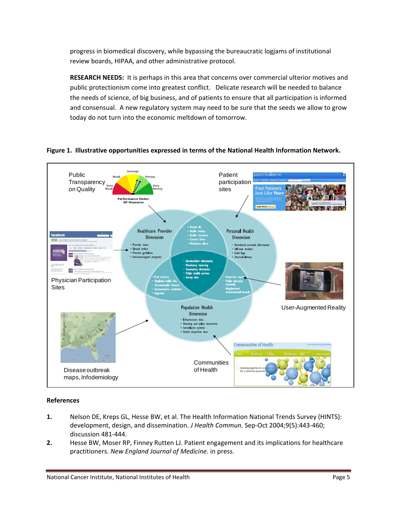progress in biomedical discovery, while bypassing the bureaucratic logjams of institutional review boards, HIPAA, and other administrative protocol.

**RESEARCH NEEDS:** It is perhaps in this area that concerns over commercial ulterior motives and public protectionism come into greatest conflict. Delicate research will be needed to balance the needs of science, of big business, and of patients to ensure that all participation is informed and consensual. A new regulatory system may need to be sure that the seeds we allow to grow today do not turn into the economic meltdown of tomorrow.



### **Figure 1. Illustrative opportunities expressed in terms of the National Health Information Network.**

# **References**

- **1.** Nelson DE, Kreps GL, Hesse BW, et al. The Health Information National Trends Survey (HINTS): development, design, and dissemination. *J Health Commun.* Sep-Oct 2004;9(5):443-460; discussion 481-444.
- **2.** Hesse BW, Moser RP, Finney Rutten LJ. Patient engagement and its implications for healthcare practitioners. *New England Journal of Medicine.* in press.